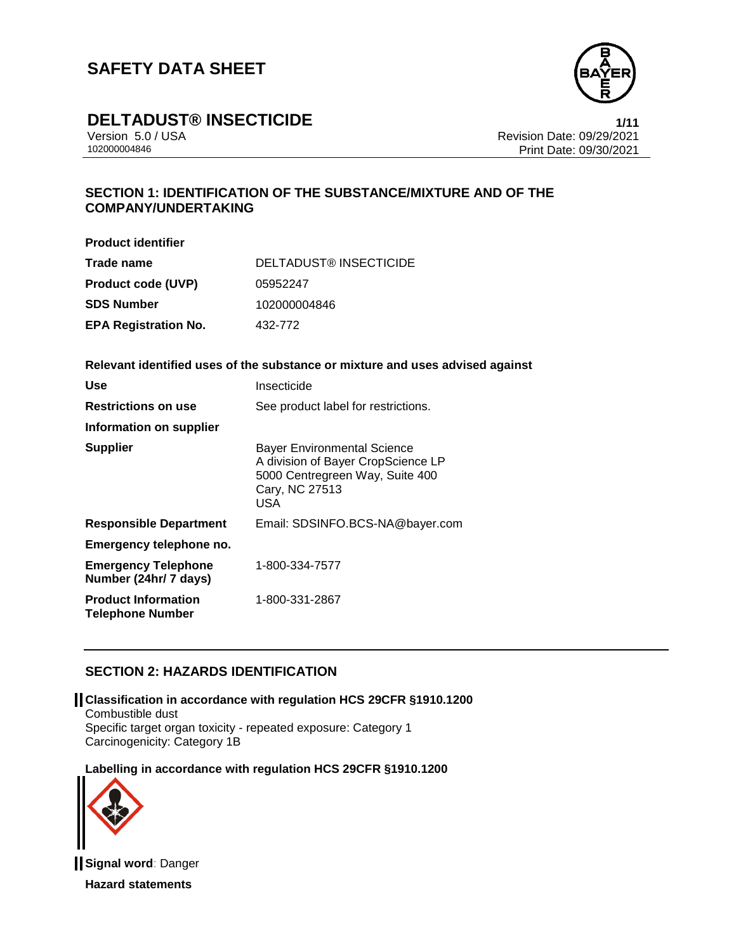

# **DELTADUST® INSECTICIDE 1/11**

Version 5.0 / USA Revision Date: 09/29/2021<br>10200004846 Print Date: 09/20/2021 Print Date: 09/30/2021

## **SECTION 1: IDENTIFICATION OF THE SUBSTANCE/MIXTURE AND OF THE COMPANY/UNDERTAKING**

**Product identifier**

| Trade name                  | DELTADUST® INSECTICIDE |
|-----------------------------|------------------------|
| <b>Product code (UVP)</b>   | 05952247               |
| <b>SDS Number</b>           | 102000004846           |
| <b>EPA Registration No.</b> | 432-772                |

**Relevant identified uses of the substance or mixture and uses advised against**

| <b>Use</b>                                            | Insecticide                                                                                                                                 |
|-------------------------------------------------------|---------------------------------------------------------------------------------------------------------------------------------------------|
| <b>Restrictions on use</b>                            | See product label for restrictions.                                                                                                         |
| Information on supplier                               |                                                                                                                                             |
| <b>Supplier</b>                                       | <b>Bayer Environmental Science</b><br>A division of Bayer CropScience LP<br>5000 Centregreen Way, Suite 400<br>Cary, NC 27513<br><b>USA</b> |
| <b>Responsible Department</b>                         | Email: SDSINFO.BCS-NA@bayer.com                                                                                                             |
| Emergency telephone no.                               |                                                                                                                                             |
| <b>Emergency Telephone</b><br>Number (24hr/ 7 days)   | 1-800-334-7577                                                                                                                              |
| <b>Product Information</b><br><b>Telephone Number</b> | 1-800-331-2867                                                                                                                              |

## **SECTION 2: HAZARDS IDENTIFICATION**

**Classification in accordance with regulation HCS 29CFR §1910.1200** Combustible dust Specific target organ toxicity - repeated exposure: Category 1 Carcinogenicity: Category 1B

### **Labelling in accordance with regulation HCS 29CFR §1910.1200**



**Signal word**: Danger **Hazard statements**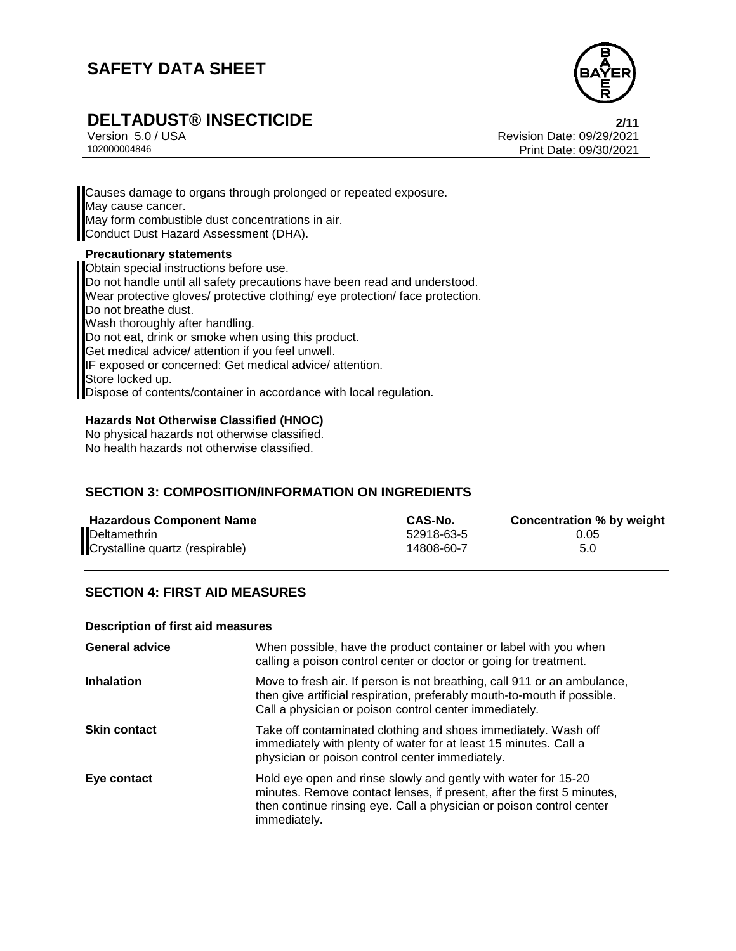

# **DELTADUST® INSECTICIDE 2/11**

Version 5.0 / USA Revision Date: 09/29/2021<br>10200004846 Revision Date: 09/29/2021 Print Date: 09/30/2021

Causes damage to organs through prolonged or repeated exposure. May cause cancer. May form combustible dust concentrations in air. Conduct Dust Hazard Assessment (DHA). **Precautionary statements** Obtain special instructions before use. Do not handle until all safety precautions have been read and understood. Wear protective gloves/ protective clothing/ eye protection/ face protection. Do not breathe dust.

Wash thoroughly after handling.

Do not eat, drink or smoke when using this product.

Get medical advice/ attention if you feel unwell.

IF exposed or concerned: Get medical advice/ attention.

Store locked up.

Dispose of contents/container in accordance with local regulation.

### **Hazards Not Otherwise Classified (HNOC)**

No physical hazards not otherwise classified. No health hazards not otherwise classified.

## **SECTION 3: COMPOSITION/INFORMATION ON INGREDIENTS**

| <b>Hazardous Component Name</b> | CAS-No.    | Concentration % by weight |
|---------------------------------|------------|---------------------------|
| Deltamethrin                    | 52918-63-5 | 0.05                      |
| Crystalline quartz (respirable) | 14808-60-7 | 5.0                       |

## **SECTION 4: FIRST AID MEASURES**

#### **Description of first aid measures**

| <b>General advice</b> | When possible, have the product container or label with you when<br>calling a poison control center or doctor or going for treatment.                                                                                            |
|-----------------------|----------------------------------------------------------------------------------------------------------------------------------------------------------------------------------------------------------------------------------|
| <b>Inhalation</b>     | Move to fresh air. If person is not breathing, call 911 or an ambulance,<br>then give artificial respiration, preferably mouth-to-mouth if possible.<br>Call a physician or poison control center immediately.                   |
| <b>Skin contact</b>   | Take off contaminated clothing and shoes immediately. Wash off<br>immediately with plenty of water for at least 15 minutes. Call a<br>physician or poison control center immediately.                                            |
| Eye contact           | Hold eye open and rinse slowly and gently with water for 15-20<br>minutes. Remove contact lenses, if present, after the first 5 minutes,<br>then continue rinsing eye. Call a physician or poison control center<br>immediately. |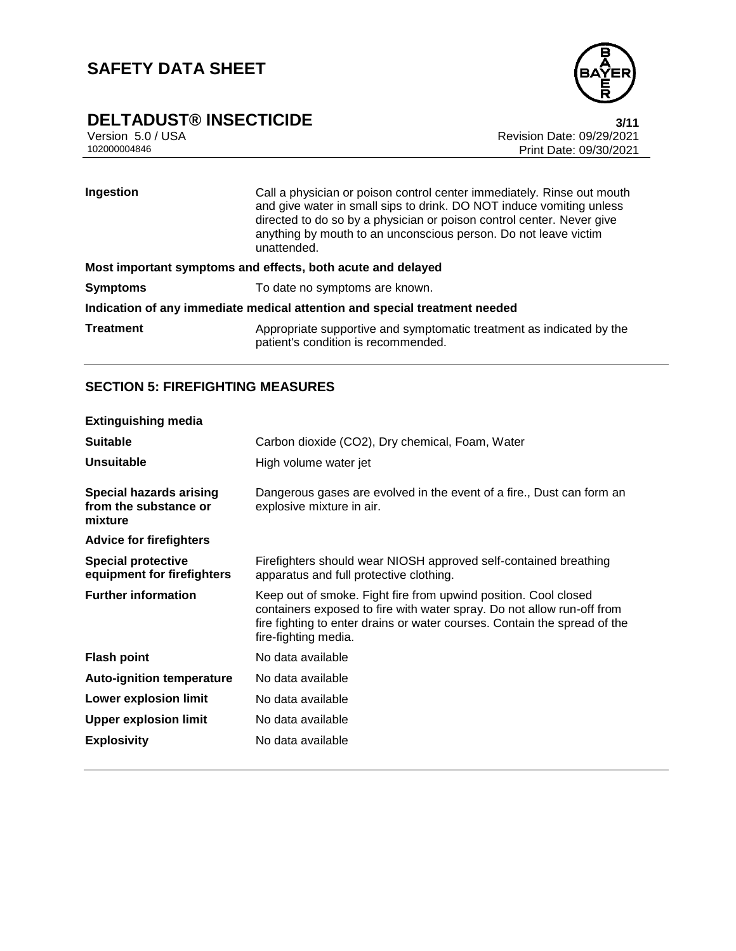

# **DELTADUST® INSECTICIDE**<br>Version 5.0 / USA **111**<br>Revision Date: 09/29/2021

Version 5.0 / USA Revision Date: 09/29/2021<br>102000004846 Print Date: 09/30/2021 Print Date: 09/30/2021

| Ingestion                                                                  | Call a physician or poison control center immediately. Rinse out mouth<br>and give water in small sips to drink. DO NOT induce vomiting unless<br>directed to do so by a physician or poison control center. Never give<br>anything by mouth to an unconscious person. Do not leave victim<br>unattended. |  |
|----------------------------------------------------------------------------|-----------------------------------------------------------------------------------------------------------------------------------------------------------------------------------------------------------------------------------------------------------------------------------------------------------|--|
| Most important symptoms and effects, both acute and delayed                |                                                                                                                                                                                                                                                                                                           |  |
| <b>Symptoms</b>                                                            | To date no symptoms are known.                                                                                                                                                                                                                                                                            |  |
| Indication of any immediate medical attention and special treatment needed |                                                                                                                                                                                                                                                                                                           |  |
| <b>Treatment</b>                                                           | Appropriate supportive and symptomatic treatment as indicated by the<br>patient's condition is recommended.                                                                                                                                                                                               |  |

## **SECTION 5: FIREFIGHTING MEASURES**

| <b>Extinguishing media</b>                                         |                                                                                                                                                                                                                                                |
|--------------------------------------------------------------------|------------------------------------------------------------------------------------------------------------------------------------------------------------------------------------------------------------------------------------------------|
| <b>Suitable</b>                                                    | Carbon dioxide (CO2), Dry chemical, Foam, Water                                                                                                                                                                                                |
| <b>Unsuitable</b>                                                  | High volume water jet                                                                                                                                                                                                                          |
| <b>Special hazards arising</b><br>from the substance or<br>mixture | Dangerous gases are evolved in the event of a fire., Dust can form an<br>explosive mixture in air.                                                                                                                                             |
| <b>Advice for firefighters</b>                                     |                                                                                                                                                                                                                                                |
| <b>Special protective</b><br>equipment for firefighters            | Firefighters should wear NIOSH approved self-contained breathing<br>apparatus and full protective clothing.                                                                                                                                    |
| <b>Further information</b>                                         | Keep out of smoke. Fight fire from upwind position. Cool closed<br>containers exposed to fire with water spray. Do not allow run-off from<br>fire fighting to enter drains or water courses. Contain the spread of the<br>fire-fighting media. |
| <b>Flash point</b>                                                 | No data available                                                                                                                                                                                                                              |
| <b>Auto-ignition temperature</b>                                   | No data available                                                                                                                                                                                                                              |
| Lower explosion limit                                              | No data available                                                                                                                                                                                                                              |
| <b>Upper explosion limit</b>                                       | No data available                                                                                                                                                                                                                              |
| <b>Explosivity</b>                                                 | No data available                                                                                                                                                                                                                              |
|                                                                    |                                                                                                                                                                                                                                                |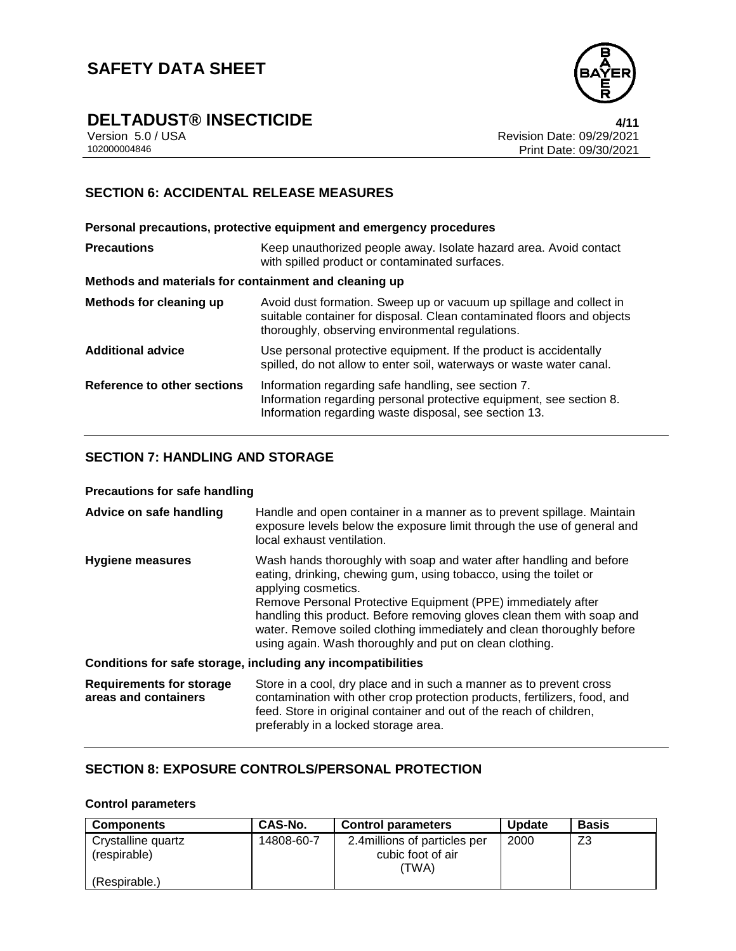

# **DELTADUST® INSECTICIDE**<br>Version 5.0 / USA **1/11**<br>Revision Date: 09/29/2021

Version 5.0 / USA Revision Date: 09/29/2021<br>102000004846 Print Date: 09/30/2021 Print Date: 09/30/2021

## **SECTION 6: ACCIDENTAL RELEASE MEASURES**

|                                                       | Personal precautions, protective equipment and emergency procedures                                                                                                                               |  |
|-------------------------------------------------------|---------------------------------------------------------------------------------------------------------------------------------------------------------------------------------------------------|--|
| <b>Precautions</b>                                    | Keep unauthorized people away. Isolate hazard area. Avoid contact<br>with spilled product or contaminated surfaces.                                                                               |  |
| Methods and materials for containment and cleaning up |                                                                                                                                                                                                   |  |
| Methods for cleaning up                               | Avoid dust formation. Sweep up or vacuum up spillage and collect in<br>suitable container for disposal. Clean contaminated floors and objects<br>thoroughly, observing environmental regulations. |  |
| <b>Additional advice</b>                              | Use personal protective equipment. If the product is accidentally<br>spilled, do not allow to enter soil, waterways or waste water canal.                                                         |  |
| Reference to other sections                           | Information regarding safe handling, see section 7.<br>Information regarding personal protective equipment, see section 8.<br>Information regarding waste disposal, see section 13.               |  |

### **SECTION 7: HANDLING AND STORAGE**

#### **Precautions for safe handling**

| Advice on safe handling                                      | Handle and open container in a manner as to prevent spillage. Maintain<br>exposure levels below the exposure limit through the use of general and<br>local exhaust ventilation.                                                                                                                                                                                                                                                               |  |
|--------------------------------------------------------------|-----------------------------------------------------------------------------------------------------------------------------------------------------------------------------------------------------------------------------------------------------------------------------------------------------------------------------------------------------------------------------------------------------------------------------------------------|--|
| <b>Hygiene measures</b>                                      | Wash hands thoroughly with soap and water after handling and before<br>eating, drinking, chewing gum, using tobacco, using the toilet or<br>applying cosmetics.<br>Remove Personal Protective Equipment (PPE) immediately after<br>handling this product. Before removing gloves clean them with soap and<br>water. Remove soiled clothing immediately and clean thoroughly before<br>using again. Wash thoroughly and put on clean clothing. |  |
| Conditions for safe storage, including any incompatibilities |                                                                                                                                                                                                                                                                                                                                                                                                                                               |  |
| <b>Requirements for storage</b><br>areas and containers      | Store in a cool, dry place and in such a manner as to prevent cross<br>contamination with other crop protection products, fertilizers, food, and<br>feed. Store in original container and out of the reach of children,<br>preferably in a locked storage area.                                                                                                                                                                               |  |

## **SECTION 8: EXPOSURE CONTROLS/PERSONAL PROTECTION**

### **Control parameters**

| <b>Components</b>                  | <b>CAS-No.</b> | <b>Control parameters</b>                                   | <b>Update</b> | <b>Basis</b> |
|------------------------------------|----------------|-------------------------------------------------------------|---------------|--------------|
| Crystalline quartz<br>(respirable) | 14808-60-7     | 2.4 millions of particles per<br>cubic foot of air<br>'TWA) | 2000          | Z3           |
| (Respirable.)                      |                |                                                             |               |              |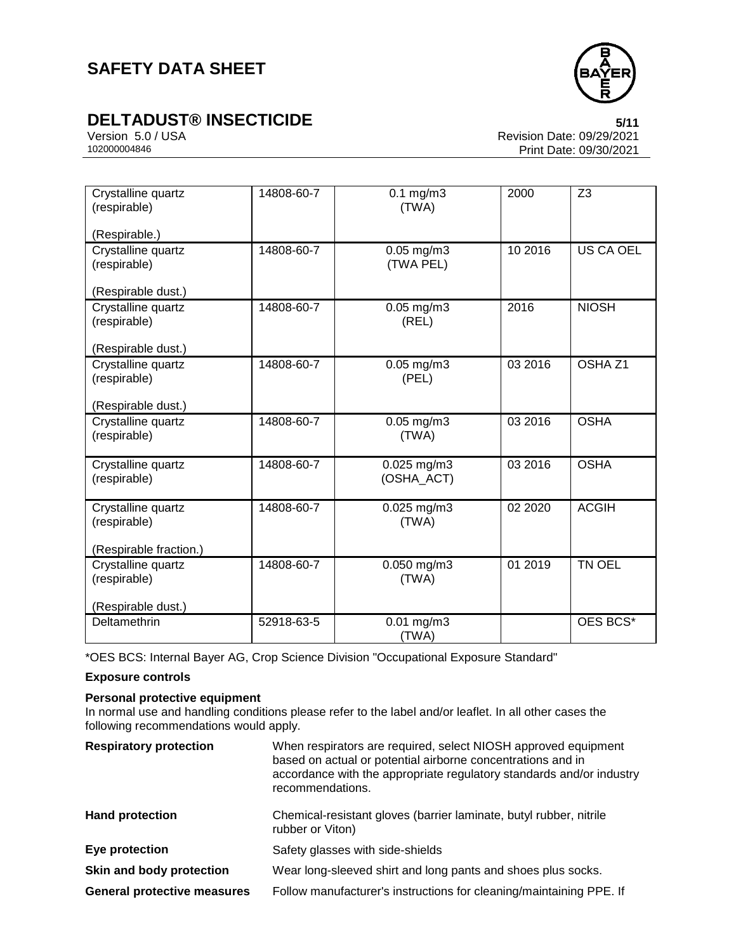

# **DELTADUST® INSECTICIDE 5/11**

Version 5.0 / USA Revision Date: 09/29/2021<br>102000004846 Print Date: 09/30/2021 Print Date: 09/30/2021

| Crystalline quartz<br>(respirable)<br>(Respirable.)                            | 14808-60-7 | $0.1$ mg/m $3$<br>(TWA)        | 2000    | Z <sub>3</sub>     |
|--------------------------------------------------------------------------------|------------|--------------------------------|---------|--------------------|
| Crystalline quartz<br>(respirable)                                             | 14808-60-7 | 0.05 mg/m3<br>(TWA PEL)        | 10 2016 | <b>US CA OEL</b>   |
| (Respirable dust.)<br>Crystalline quartz<br>(respirable)<br>(Respirable dust.) | 14808-60-7 | $0.05$ mg/m $3$<br>(REL)       | 2016    | <b>NIOSH</b>       |
| Crystalline quartz<br>(respirable)<br>(Respirable dust.)                       | 14808-60-7 | 0.05 mg/m3<br>(PEL)            | 03 2016 | OSHA <sub>Z1</sub> |
| Crystalline quartz<br>(respirable)                                             | 14808-60-7 | $0.05$ mg/m $3$<br>(TWA)       | 03 2016 | <b>OSHA</b>        |
| Crystalline quartz<br>(respirable)                                             | 14808-60-7 | $0.025$ mg/m $3$<br>(OSHA ACT) | 03 2016 | <b>OSHA</b>        |
| Crystalline quartz<br>(respirable)<br>(Respirable fraction.)                   | 14808-60-7 | $0.025$ mg/m $3$<br>(TWA)      | 02 2020 | <b>ACGIH</b>       |
| Crystalline quartz<br>(respirable)<br>(Respirable dust.)                       | 14808-60-7 | 0.050 mg/m3<br>(TWA)           | 01 2019 | TN OEL             |
| Deltamethrin                                                                   | 52918-63-5 | $0.01$ mg/m3<br>(TWA)          |         | OES BCS*           |

\*OES BCS: Internal Bayer AG, Crop Science Division "Occupational Exposure Standard"

### **Exposure controls**

#### **Personal protective equipment**

In normal use and handling conditions please refer to the label and/or leaflet. In all other cases the following recommendations would apply.

| <b>Respiratory protection</b>      | When respirators are required, select NIOSH approved equipment<br>based on actual or potential airborne concentrations and in<br>accordance with the appropriate regulatory standards and/or industry<br>recommendations. |
|------------------------------------|---------------------------------------------------------------------------------------------------------------------------------------------------------------------------------------------------------------------------|
| <b>Hand protection</b>             | Chemical-resistant gloves (barrier laminate, butyl rubber, nitrile<br>rubber or Viton)                                                                                                                                    |
| Eye protection                     | Safety glasses with side-shields                                                                                                                                                                                          |
| Skin and body protection           | Wear long-sleeved shirt and long pants and shoes plus socks.                                                                                                                                                              |
| <b>General protective measures</b> | Follow manufacturer's instructions for cleaning/maintaining PPE. If                                                                                                                                                       |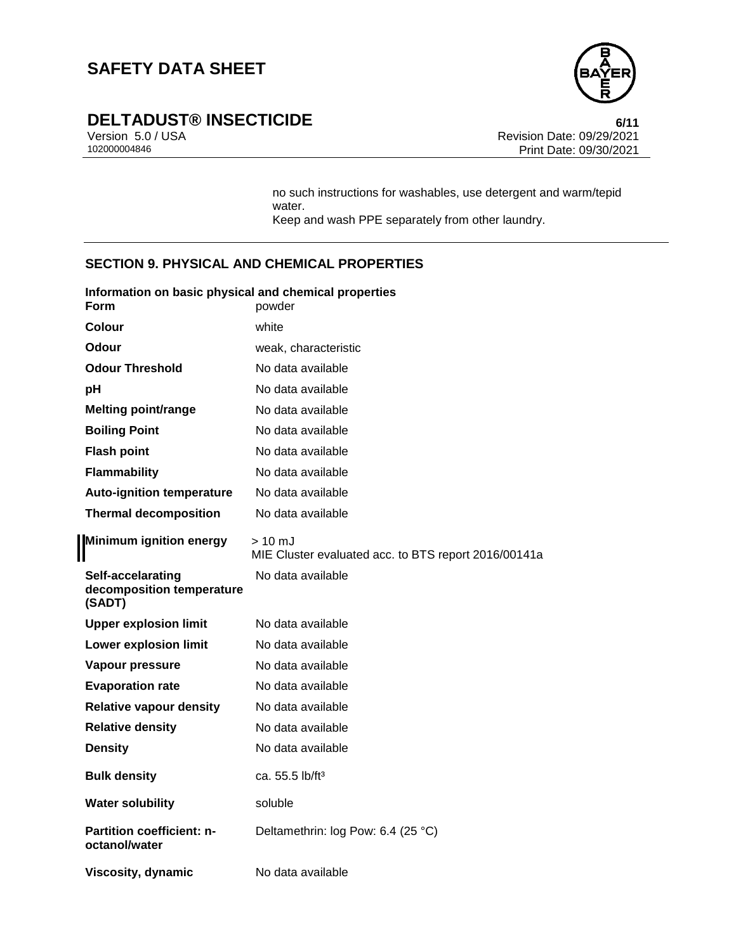

# **DELTADUST® INSECTICIDE**<br>Version 5.0/USA **by Case 1000 and Security Revision Date: 09/29/2021**

Version 5.0 / USA Revision Date: 09/29/2021<br>102000004846 Print Date: 09/30/2021 Print Date: 09/30/2021

> no such instructions for washables, use detergent and warm/tepid water. Keep and wash PPE separately from other laundry.

### **SECTION 9. PHYSICAL AND CHEMICAL PROPERTIES**

| Information on basic physical and chemical properties<br><b>Form</b> | powder                                                                   |
|----------------------------------------------------------------------|--------------------------------------------------------------------------|
| Colour                                                               | white                                                                    |
| Odour                                                                | weak, characteristic                                                     |
| <b>Odour Threshold</b>                                               | No data available                                                        |
| рH                                                                   | No data available                                                        |
| <b>Melting point/range</b>                                           | No data available                                                        |
| <b>Boiling Point</b>                                                 | No data available                                                        |
| <b>Flash point</b>                                                   | No data available                                                        |
| <b>Flammability</b>                                                  | No data available                                                        |
| <b>Auto-ignition temperature</b>                                     | No data available                                                        |
| <b>Thermal decomposition</b>                                         | No data available                                                        |
| <b>Minimum ignition energy</b>                                       | $>10 \text{ mJ}$<br>MIE Cluster evaluated acc. to BTS report 2016/00141a |
| Self-accelarating<br>decomposition temperature<br>(SADT)             | No data available                                                        |
| <b>Upper explosion limit</b>                                         | No data available                                                        |
| Lower explosion limit                                                | No data available                                                        |
| Vapour pressure                                                      | No data available                                                        |
| <b>Evaporation rate</b>                                              | No data available                                                        |
| <b>Relative vapour density</b>                                       | No data available                                                        |
| <b>Relative density</b>                                              | No data available                                                        |
| <b>Density</b>                                                       | No data available                                                        |
| <b>Bulk density</b>                                                  | ca. 55.5 lb/ft <sup>3</sup>                                              |
| <b>Water solubility</b>                                              | soluble                                                                  |
| Partition coefficient: n-<br>octanol/water                           | Deltamethrin: log Pow: 6.4 (25 °C)                                       |
| Viscosity, dynamic                                                   | No data available                                                        |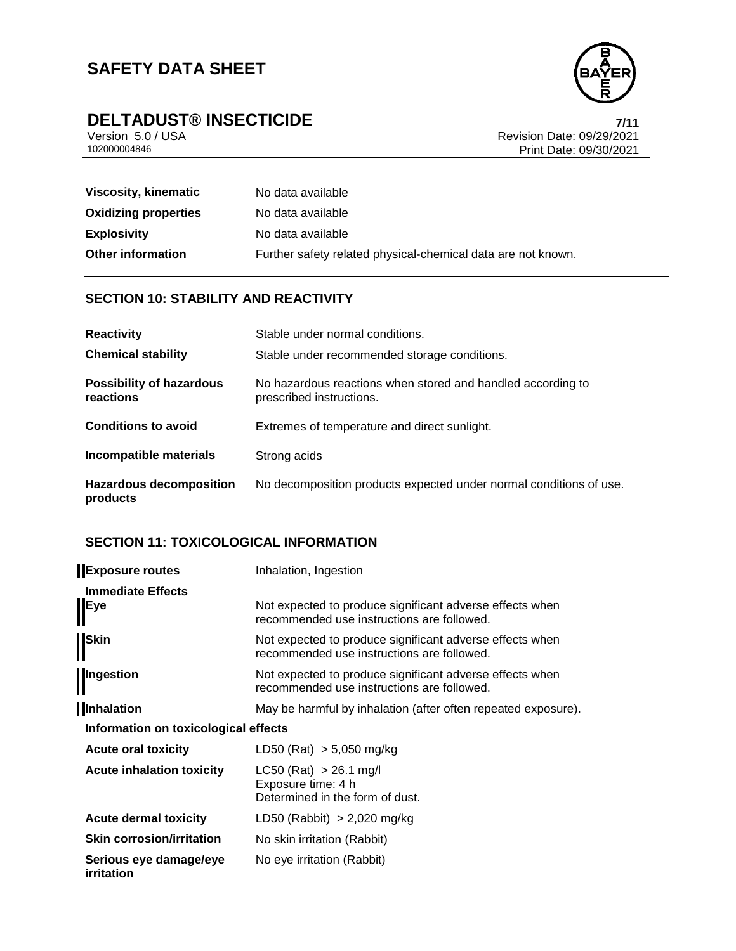

# **DELTADUST® INSECTICIDE**<br>Version 5.0/USA *Version 5.0/USA*

Version 5.0 / USA Revision Date: 09/29/2021<br>102000004846 Print Date: 09/30/2021 Print Date: 09/30/2021

| Viscosity, kinematic        | No data available                                            |
|-----------------------------|--------------------------------------------------------------|
| <b>Oxidizing properties</b> | No data available                                            |
| <b>Explosivity</b>          | No data available                                            |
| <b>Other information</b>    | Further safety related physical-chemical data are not known. |

## **SECTION 10: STABILITY AND REACTIVITY**

| <b>Reactivity</b>                            | Stable under normal conditions.                                                         |
|----------------------------------------------|-----------------------------------------------------------------------------------------|
| <b>Chemical stability</b>                    | Stable under recommended storage conditions.                                            |
| <b>Possibility of hazardous</b><br>reactions | No hazardous reactions when stored and handled according to<br>prescribed instructions. |
| <b>Conditions to avoid</b>                   | Extremes of temperature and direct sunlight.                                            |
| Incompatible materials                       | Strong acids                                                                            |
| <b>Hazardous decomposition</b><br>products   | No decomposition products expected under normal conditions of use.                      |

## **SECTION 11: TOXICOLOGICAL INFORMATION**

| <b>Exposure routes</b>                      | Inhalation, Ingestion                                                                                  |
|---------------------------------------------|--------------------------------------------------------------------------------------------------------|
| <b>Immediate Effects</b><br>Eye             | Not expected to produce significant adverse effects when<br>recommended use instructions are followed. |
| <b>Skin</b>                                 | Not expected to produce significant adverse effects when<br>recommended use instructions are followed. |
| Ingestion                                   | Not expected to produce significant adverse effects when<br>recommended use instructions are followed. |
| Inhalation                                  | May be harmful by inhalation (after often repeated exposure).                                          |
| Information on toxicological effects        |                                                                                                        |
| <b>Acute oral toxicity</b>                  | LD50 (Rat) $> 5,050$ mg/kg                                                                             |
| <b>Acute inhalation toxicity</b>            | $LC50$ (Rat) $> 26.1$ mg/l<br>Exposure time: 4 h<br>Determined in the form of dust.                    |
| <b>Acute dermal toxicity</b>                | LD50 (Rabbit) $> 2,020$ mg/kg                                                                          |
| <b>Skin corrosion/irritation</b>            | No skin irritation (Rabbit)                                                                            |
| Serious eye damage/eye<br><b>irritation</b> | No eye irritation (Rabbit)                                                                             |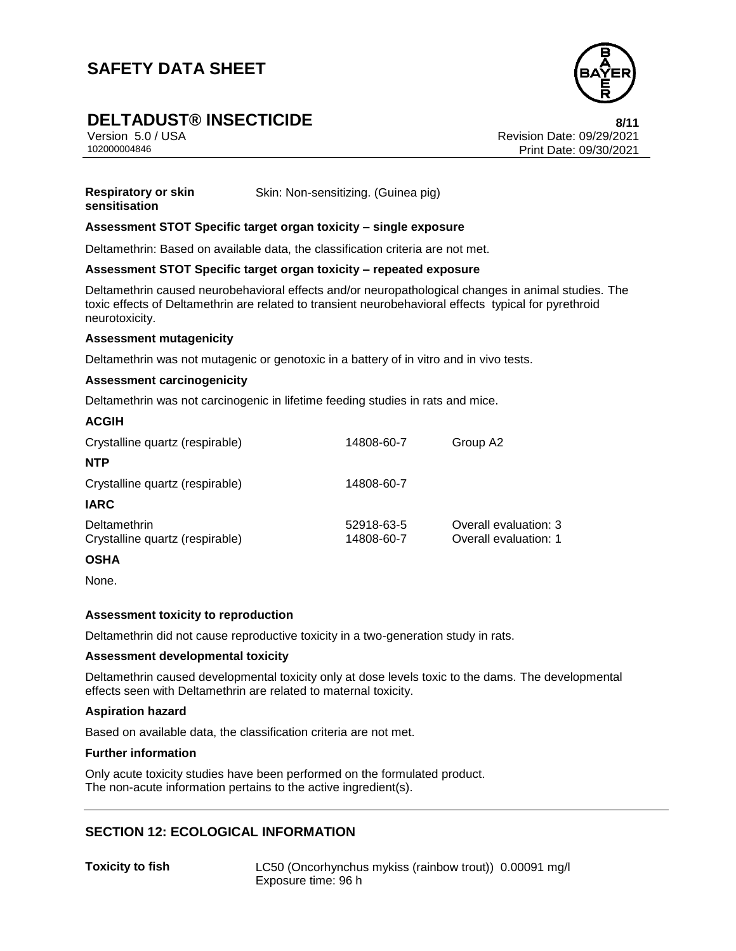

# **DELTADUST® INSECTICIDE 8/11**

Version 5.0 / USA Revision Date: 09/29/2021 102000004846 Print Date: 09/30/2021

**Respiratory or skin sensitisation** Skin: Non-sensitizing. (Guinea pig)

#### **Assessment STOT Specific target organ toxicity – single exposure**

Deltamethrin: Based on available data, the classification criteria are not met.

#### **Assessment STOT Specific target organ toxicity – repeated exposure**

Deltamethrin caused neurobehavioral effects and/or neuropathological changes in animal studies. The toxic effects of Deltamethrin are related to transient neurobehavioral effects typical for pyrethroid neurotoxicity.

#### **Assessment mutagenicity**

Deltamethrin was not mutagenic or genotoxic in a battery of in vitro and in vivo tests.

#### **Assessment carcinogenicity**

Deltamethrin was not carcinogenic in lifetime feeding studies in rats and mice.

| <b>ACGIH</b>                                    |                          |                                                |
|-------------------------------------------------|--------------------------|------------------------------------------------|
| Crystalline quartz (respirable)                 | 14808-60-7               | Group A2                                       |
| <b>NTP</b>                                      |                          |                                                |
| Crystalline quartz (respirable)                 | 14808-60-7               |                                                |
| <b>IARC</b>                                     |                          |                                                |
| Deltamethrin<br>Crystalline quartz (respirable) | 52918-63-5<br>14808-60-7 | Overall evaluation: 3<br>Overall evaluation: 1 |

#### **OSHA**

None.

#### **Assessment toxicity to reproduction**

Deltamethrin did not cause reproductive toxicity in a two-generation study in rats.

#### **Assessment developmental toxicity**

Deltamethrin caused developmental toxicity only at dose levels toxic to the dams. The developmental effects seen with Deltamethrin are related to maternal toxicity.

#### **Aspiration hazard**

Based on available data, the classification criteria are not met.

#### **Further information**

Only acute toxicity studies have been performed on the formulated product. The non-acute information pertains to the active ingredient(s).

## **SECTION 12: ECOLOGICAL INFORMATION**

**Toxicity to fish** LC50 (Oncorhynchus mykiss (rainbow trout)) 0.00091 mg/l Exposure time: 96 h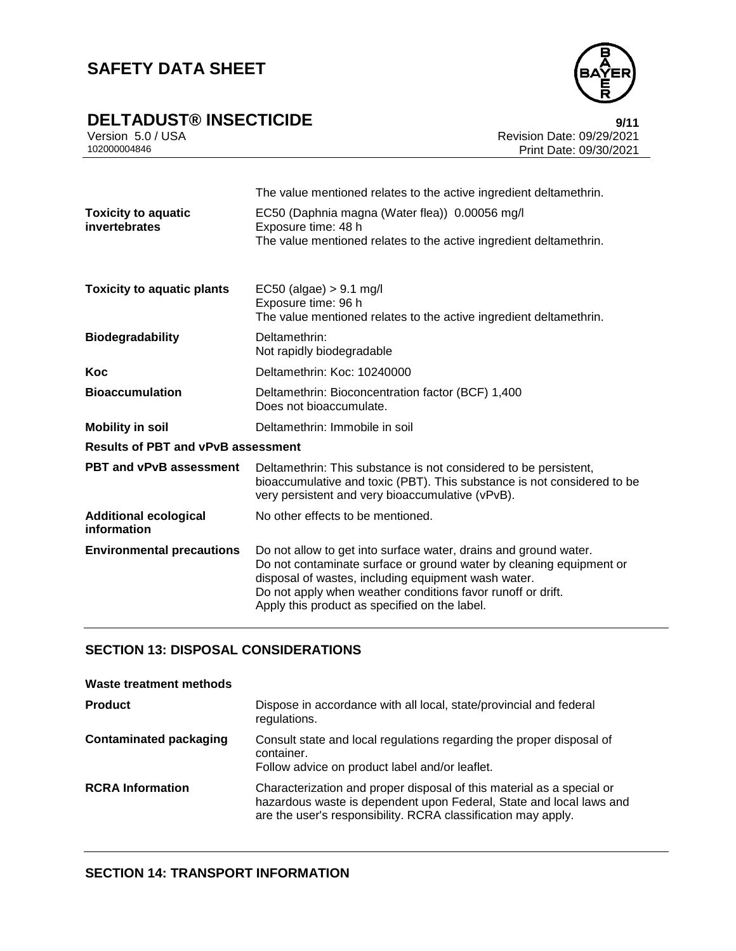

# **DELTADUST® INSECTICIDE**<br>Version 5.0 / USA **Propose Supplement Control of the Supplement Propose Revision Date: 09/29/2021**

Version 5.0 / USA Revision Date: 09/29/2021<br>102000004846 Print Date: 09/30/2021 Print Date: 09/30/2021

| <b>Toxicity to aquatic</b><br>invertebrates | The value mentioned relates to the active ingredient deltamethrin.<br>EC50 (Daphnia magna (Water flea)) 0.00056 mg/l<br>Exposure time: 48 h<br>The value mentioned relates to the active ingredient deltamethrin.                                                                                              |
|---------------------------------------------|----------------------------------------------------------------------------------------------------------------------------------------------------------------------------------------------------------------------------------------------------------------------------------------------------------------|
| <b>Toxicity to aquatic plants</b>           | $EC50$ (algae) $> 9.1$ mg/l<br>Exposure time: 96 h<br>The value mentioned relates to the active ingredient deltamethrin.                                                                                                                                                                                       |
| <b>Biodegradability</b>                     | Deltamethrin:<br>Not rapidly biodegradable                                                                                                                                                                                                                                                                     |
| Koc                                         | Deltamethrin: Koc: 10240000                                                                                                                                                                                                                                                                                    |
| <b>Bioaccumulation</b>                      | Deltamethrin: Bioconcentration factor (BCF) 1,400<br>Does not bioaccumulate.                                                                                                                                                                                                                                   |
| <b>Mobility in soil</b>                     | Deltamethrin: Immobile in soil                                                                                                                                                                                                                                                                                 |
| <b>Results of PBT and vPvB assessment</b>   |                                                                                                                                                                                                                                                                                                                |
| <b>PBT and vPvB assessment</b>              | Deltamethrin: This substance is not considered to be persistent,<br>bioaccumulative and toxic (PBT). This substance is not considered to be<br>very persistent and very bioaccumulative (vPvB).                                                                                                                |
| <b>Additional ecological</b><br>information | No other effects to be mentioned.                                                                                                                                                                                                                                                                              |
| <b>Environmental precautions</b>            | Do not allow to get into surface water, drains and ground water.<br>Do not contaminate surface or ground water by cleaning equipment or<br>disposal of wastes, including equipment wash water.<br>Do not apply when weather conditions favor runoff or drift.<br>Apply this product as specified on the label. |

## **SECTION 13: DISPOSAL CONSIDERATIONS**

| Waste treatment methods       |                                                                                                                                                                                                               |
|-------------------------------|---------------------------------------------------------------------------------------------------------------------------------------------------------------------------------------------------------------|
| <b>Product</b>                | Dispose in accordance with all local, state/provincial and federal<br>regulations.                                                                                                                            |
| <b>Contaminated packaging</b> | Consult state and local regulations regarding the proper disposal of<br>container.<br>Follow advice on product label and/or leaflet.                                                                          |
| <b>RCRA</b> Information       | Characterization and proper disposal of this material as a special or<br>hazardous waste is dependent upon Federal, State and local laws and<br>are the user's responsibility. RCRA classification may apply. |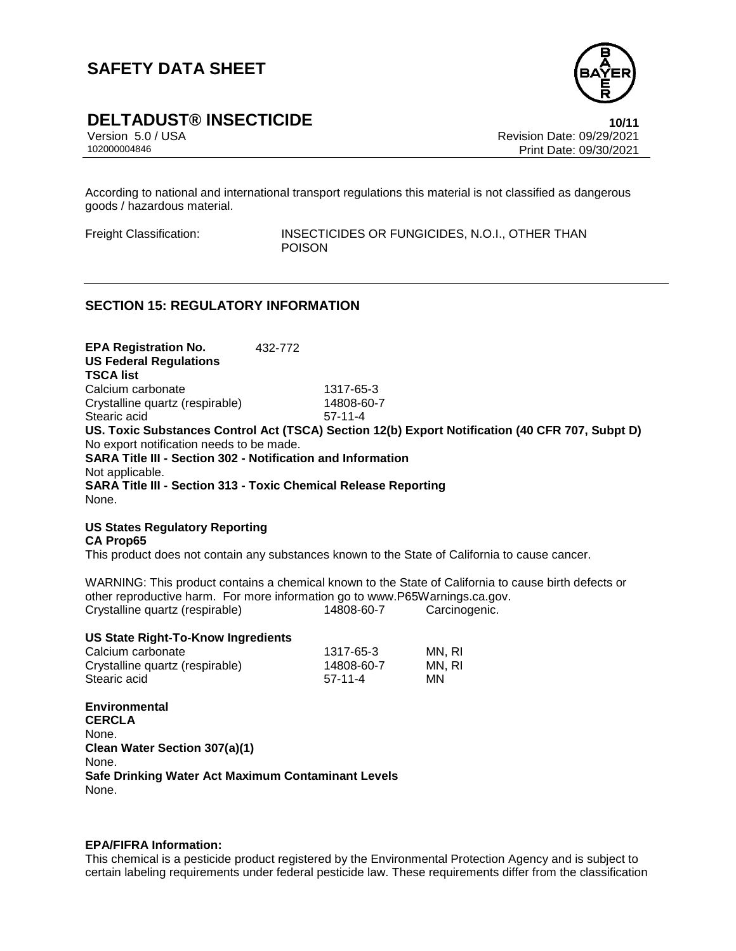

## **DELTADUST® INSECTICIDE 10/11**

Version 5.0 / USA Revision Date: 09/29/2021 102000004846 Print Date: 09/30/2021

According to national and international transport regulations this material is not classified as dangerous goods / hazardous material.

Freight Classification: INSECTICIDES OR FUNGICIDES, N.O.I., OTHER THAN POISON

### **SECTION 15: REGULATORY INFORMATION**

**EPA Registration No.** 432-772 **US Federal Regulations TSCA list** Calcium carbonate 1317-65-3 Crystalline quartz (respirable) 14808-60-7 Stearic acid 57-11-4 **US. Toxic Substances Control Act (TSCA) Section 12(b) Export Notification (40 CFR 707, Subpt D)** No export notification needs to be made. **SARA Title III - Section 302 - Notification and Information** Not applicable. **SARA Title III - Section 313 - Toxic Chemical Release Reporting** None.

#### **US States Regulatory Reporting CA Prop65**

This product does not contain any substances known to the State of California to cause cancer.

WARNING: This product contains a chemical known to the State of California to cause birth defects or other reproductive harm. For more information go to www.P65Warnings.ca.gov. Crystalline quartz (respirable) 14808-60-7 Carcinogenic.

#### **US State Right-To-Know Ingredients**

| Calcium carbonate               | 1317-65-3  | MN. RI |
|---------------------------------|------------|--------|
| Crystalline quartz (respirable) | 14808-60-7 | MN. RI |
| Stearic acid                    | $57-11-4$  | ΜN     |

**Environmental CERCLA** None. **Clean Water Section 307(a)(1)** None. **Safe Drinking Water Act Maximum Contaminant Levels** None.

#### **EPA/FIFRA Information:**

This chemical is a pesticide product registered by the Environmental Protection Agency and is subject to certain labeling requirements under federal pesticide law. These requirements differ from the classification